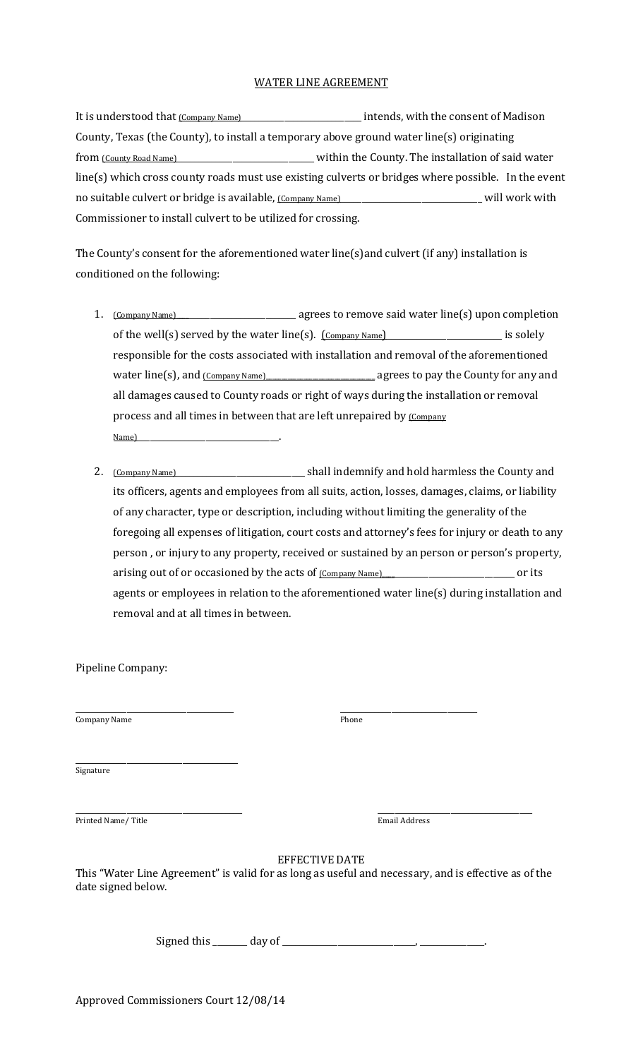## WATER LINE AGREEMENT

It is understood that  $\underline{\text{Common Name}}$  measured intends, with the consent of Madison County, Texas (the County), to install a temporary above ground water line(s) originating from (County Road Name)\_\_\_\_\_\_\_\_\_\_\_\_\_\_\_\_\_\_\_\_\_\_\_\_\_\_\_\_\_\_\_\_ within the County. The installation of said water line(s) which cross county roads must use existing culverts or bridges where possible. In the event no suitable culvert or bridge is available, (Company Name)\_\_\_\_\_\_\_\_\_\_\_\_\_\_\_\_\_\_\_\_\_\_\_\_\_\_\_\_\_\_\_\_\_\_ will work with Commissioner to install culvert to be utilized for crossing.

The County's consent for the aforementioned water line(s)and culvert (if any) installation is conditioned on the following:

- 1. (Company Name)\_\_\_\_\_\_\_\_\_\_\_\_\_\_\_\_\_\_\_\_\_\_\_\_\_\_\_\_\_ agrees to remove said water line(s) upon completion of the well(s) served by the water line(s).  $[CommonName]$ responsible for the costs associated with installation and removal of the aforementioned water line(s), and (Company Name)\_\_\_\_\_\_\_\_\_\_\_\_\_\_\_\_\_\_\_\_\_\_\_\_\_\_\_\_\_\_\_\_\_\_\_ agrees to pay the County for any and all damages caused to County roads or right of ways during the installation or removal process and all times in between that are left unrepaired by (Company Name)\_\_\_\_\_\_\_\_\_\_\_\_\_\_\_\_\_\_\_\_\_\_\_\_\_\_\_\_\_\_\_\_\_.
- 2. (Company Name)\_\_\_\_\_\_\_\_\_\_\_\_\_\_\_\_\_\_\_\_\_\_\_\_\_\_\_\_\_\_ shall indemnify and hold harmless the County and its officers, agents and employees from all suits, action, losses, damages, claims, or liability of any character, type or description, including without limiting the generality of the foregoing all expenses of litigation, court costs and attorney's fees for injury or death to any person , or injury to any property, received or sustained by an person or person's property, arising out of or occasioned by the acts of  $\frac{(\text{Common} \text{Name})}{(\text{Common} \text{Name})}$  or its agents or employees in relation to the aforementioned water line(s) during installation and removal and at all times in between.

Pipeline Company:

\_\_\_\_\_\_\_\_\_\_\_\_\_\_\_\_\_\_\_\_\_\_\_\_\_\_\_\_\_\_\_\_\_\_\_\_\_ \_\_\_\_\_\_\_\_\_\_\_\_\_\_\_\_\_\_\_\_\_\_\_\_\_\_\_\_\_\_\_\_ Company Name Phone

\_\_\_\_\_\_\_\_\_\_\_\_\_\_\_\_\_\_\_\_\_\_\_\_\_\_\_\_\_\_\_\_\_\_\_\_\_\_ Signature

\_\_\_\_\_\_\_\_\_\_\_\_\_\_\_\_\_\_\_\_\_\_\_\_\_\_\_\_\_\_\_\_\_\_\_\_\_\_\_ \_\_\_\_\_\_\_\_\_\_\_\_\_\_\_\_\_\_\_\_\_\_\_\_\_\_\_\_\_\_\_\_\_\_\_\_ Printed Name/ Title **Email Address** 

EFFECTIVE DATE

This "Water Line Agreement" is valid for as long as useful and necessary, and is effective as of the date signed below.

Signed this  $\frac{1}{\sqrt{2}}$  day of  $\frac{1}{\sqrt{2}}$